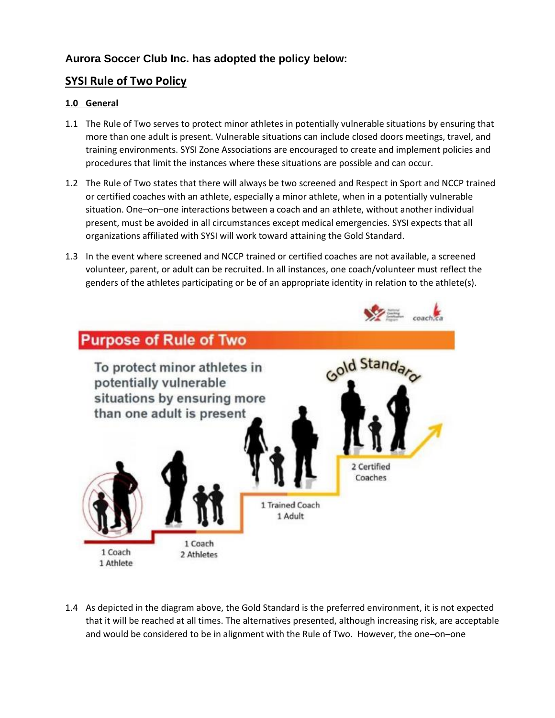# **Aurora Soccer Club Inc. has adopted the policy below:**

# **SYSI Rule of Two Policy**

### **1.0 General**

- 1.1 The Rule of Two serves to protect minor athletes in potentially vulnerable situations by ensuring that more than one adult is present. Vulnerable situations can include closed doors meetings, travel, and training environments. SYSI Zone Associations are encouraged to create and implement policies and procedures that limit the instances where these situations are possible and can occur.
- 1.2 The Rule of Two states that there will always be two screened and Respect in Sport and NCCP trained or certified coaches with an athlete, especially a minor athlete, when in a potentially vulnerable situation. One–on–one interactions between a coach and an athlete, without another individual present, must be avoided in all circumstances except medical emergencies. SYSI expects that all organizations affiliated with SYSI will work toward attaining the Gold Standard.
- 1.3 In the event where screened and NCCP trained or certified coaches are not available, a screened volunteer, parent, or adult can be recruited. In all instances, one coach/volunteer must reflect the genders of the athletes participating or be of an appropriate identity in relation to the athlete(s).



1.4 As depicted in the diagram above, the Gold Standard is the preferred environment, it is not expected that it will be reached at all times. The alternatives presented, although increasing risk, are acceptable and would be considered to be in alignment with the Rule of Two. However, the one–on–one